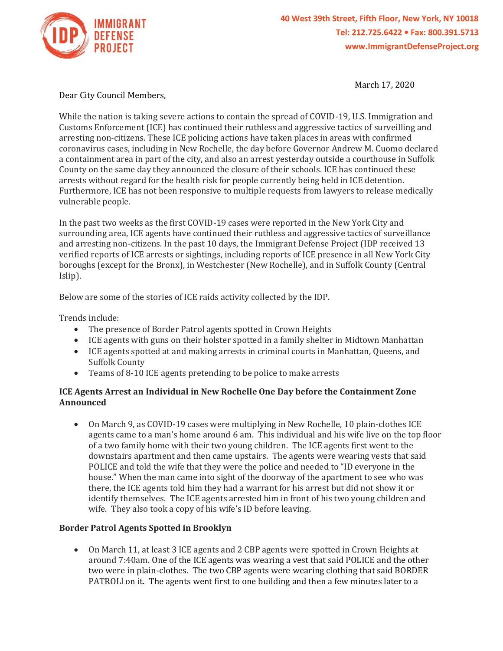

March 17, 2020

Dear City Council Members,

While the nation is taking severe actions to contain the spread of COVID-19, U.S. Immigration and Customs Enforcement (ICE) has continued their ruthless and aggressive tactics of surveilling and arresting non-citizens. These ICE policing actions have taken places in areas with confirmed coronavirus cases, including in New Rochelle, the day before Governor Andrew M. Cuomo declared a containment area in part of the city, and also an arrest yesterday outside a courthouse in Suffolk County on the same day they announced the closure of their schools. ICE has continued these arrests without regard for the health risk for people currently being held in ICE detention. Furthermore, ICE has not been responsive to multiple requests from lawyers to release medically vulnerable people.

In the past two weeks as the first COVID-19 cases were reported in the New York City and surrounding area, ICE agents have continued their ruthless and aggressive tactics of surveillance and arresting non-citizens. In the past 10 days, the Immigrant Defense Project (IDP received 13 verified reports of ICE arrests or sightings, including reports of ICE presence in all New York City boroughs (except for the Bronx), in Westchester (New Rochelle), and in Suffolk County (Central Islip).

Below are some of the stories of ICE raids activity collected by the IDP.

Trends include:

- The presence of Border Patrol agents spotted in Crown Heights
- ICE agents with guns on their holster spotted in a family shelter in Midtown Manhattan
- ICE agents spotted at and making arrests in criminal courts in Manhattan, Queens, and Suffolk County
- Teams of 8-10 ICE agents pretending to be police to make arrests

# **ICE Agents Arrest an Individual in New Rochelle One Day before the Containment Zone Announced**

• On March 9, as COVID-19 cases were multiplying in New Rochelle, 10 plain-clothes ICE agents came to a man's home around 6 am. This individual and his wife live on the top floor of a two family home with their two young children. The ICE agents first went to the downstairs apartment and then came upstairs. The agents were wearing vests that said POLICE and told the wife that they were the police and needed to "ID everyone in the house." When the man came into sight of the doorway of the apartment to see who was there, the ICE agents told him they had a warrant for his arrest but did not show it or identify themselves. The ICE agents arrested him in front of his two young children and wife. They also took a copy of his wife's ID before leaving.

# **Border Patrol Agents Spotted in Brooklyn**

• On March 11, at least 3 ICE agents and 2 CBP agents were spotted in Crown Heights at around 7:40am. One of the ICE agents was wearing a vest that said POLICE and the other two were in plain-clothes. The two CBP agents were wearing clothing that said BORDER PATROLl on it. The agents went first to one building and then a few minutes later to a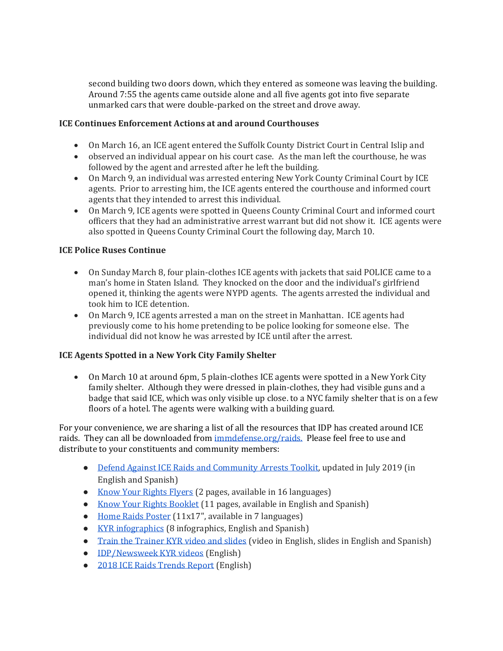second building two doors down, which they entered as someone was leaving the building. Around 7:55 the agents came outside alone and all five agents got into five separate unmarked cars that were double-parked on the street and drove away.

# **ICE Continues Enforcement Actions at and around Courthouses**

- On March 16, an ICE agent entered the Suffolk County District Court in Central Islip and
- observed an individual appear on his court case. As the man left the courthouse, he was followed by the agent and arrested after he left the building.
- On March 9, an individual was arrested entering New York County Criminal Court by ICE agents. Prior to arresting him, the ICE agents entered the courthouse and informed court agents that they intended to arrest this individual.
- On March 9, ICE agents were spotted in Queens County Criminal Court and informed court officers that they had an administrative arrest warrant but did not show it. ICE agents were also spotted in Queens County Criminal Court the following day, March 10.

# **ICE Police Ruses Continue**

- On Sunday March 8, four plain-clothes ICE agents with jackets that said POLICE came to a man's home in Staten Island. They knocked on the door and the individual's girlfriend opened it, thinking the agents were NYPD agents. The agents arrested the individual and took him to ICE detention.
- On March 9, ICE agents arrested a man on the street in Manhattan. ICE agents had previously come to his home pretending to be police looking for someone else. The individual did not know he was arrested by ICE until after the arrest.

# **ICE Agents Spotted in a New York City Family Shelter**

• On March 10 at around 6pm, 5 plain-clothes ICE agents were spotted in a New York City family shelter. Although they were dressed in plain-clothes, they had visible guns and a badge that said ICE, which was only visible up close. to a NYC family shelter that is on a few floors of a hotel. The agents were walking with a building guard.

For your convenience, we are sharing a list of all the resources that IDP has created around ICE raids. They can all be downloaded from [immdefense.org/raids.](http://immdefense.org/raids) Please feel free to use and distribute to your constituents and community members:

- [Defend Against ICE Raids and Community Arrests Toolkit,](https://www.immigrantdefenseproject.org/raids-toolkit/?utm_source=IDP+NEWSLETTER&utm_campaign=bcf089e89a-EMAIL_CAMPAIGN_2019_07_12_03_48&utm_medium=email&utm_term=0_edbeb94e67-bcf089e89a-) updated in July 2019 (in English and Spanish)
- [Know Your Rights Flyers](http://immdefense.org/kyr) (2 pages, available in 16 languages)
- [Know Your Rights Booklet](http://immdefense.org/kyr) (11 pages, available in English and Spanish)
- [Home Raids Poster](http://immdefense.org/kyr) (11x17", available in 7 languages)
- [KYR infographics](http://immdefense.org/infographics) (8 infographics, English and Spanish)
- [Train the Trainer KYR video and slides](https://www.immigrantdefenseproject.org/ttt-materials/) (video in English, slides in English and Spanish)
- [IDP/Newsweek KYR videos](http://immdefense.org/kyr) (English)
- [2018 ICE Raids Trends Report](https://www.immigrantdefenseproject.org/icewatch/) (English)